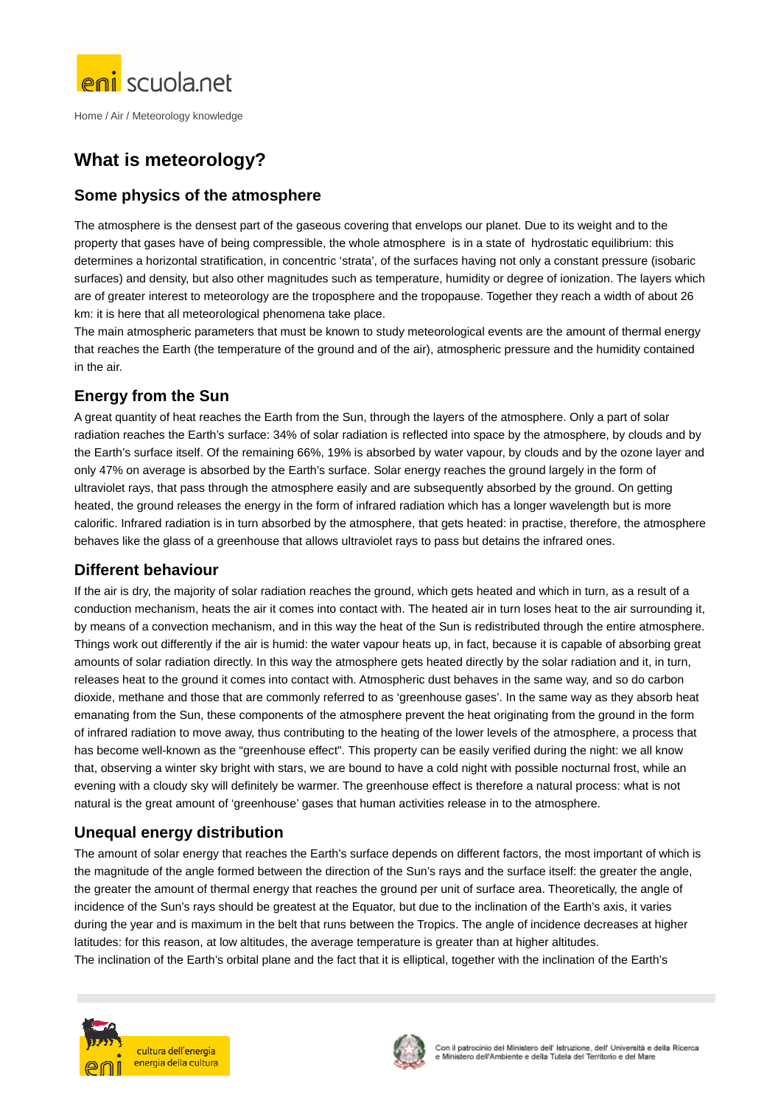

# **What is meteorology?**

# **Some physics of the atmosphere**

The atmosphere is the densest part of the gaseous covering that envelops our planet. Due to its weight and to the property that gases have of being compressible, the whole atmosphere is in a state of hydrostatic equilibrium: this determines a horizontal stratification, in concentric 'strata', of the surfaces having not only a constant pressure (isobaric surfaces) and density, but also other magnitudes such as temperature, humidity or degree of ionization. The layers which are of greater interest to meteorology are the troposphere and the tropopause. Together they reach a width of about 26 km: it is here that all meteorological phenomena take place.

The main atmospheric parameters that must be known to study meteorological events are the amount of thermal energy that reaches the Earth (the temperature of the ground and of the air), atmospheric pressure and the humidity contained in the air.

# **Energy from the Sun**

A great quantity of heat reaches the Earth from the Sun, through the layers of the atmosphere. Only a part of solar radiation reaches the Earth's surface: 34% of solar radiation is reflected into space by the atmosphere, by clouds and by the Earth's surface itself. Of the remaining 66%, 19% is absorbed by water vapour, by clouds and by the ozone layer and only 47% on average is absorbed by the Earth's surface. Solar energy reaches the ground largely in the form of ultraviolet rays, that pass through the atmosphere easily and are subsequently absorbed by the ground. On getting heated, the ground releases the energy in the form of infrared radiation which has a longer wavelength but is more calorific. Infrared radiation is in turn absorbed by the atmosphere, that gets heated: in practise, therefore, the atmosphere behaves like the glass of a greenhouse that allows ultraviolet rays to pass but detains the infrared ones.

#### **Different behaviour**

If the air is dry, the majority of solar radiation reaches the ground, which gets heated and which in turn, as a result of a conduction mechanism, heats the air it comes into contact with. The heated air in turn loses heat to the air surrounding it, by means of a convection mechanism, and in this way the heat of the Sun is redistributed through the entire atmosphere. Things work out differently if the air is humid: the water vapour heats up, in fact, because it is capable of absorbing great amounts of solar radiation directly. In this way the atmosphere gets heated directly by the solar radiation and it, in turn, releases heat to the ground it comes into contact with. Atmospheric dust behaves in the same way, and so do carbon dioxide, methane and those that are commonly referred to as 'greenhouse gases'. In the same way as they absorb heat emanating from the Sun, these components of the atmosphere prevent the heat originating from the ground in the form of infrared radiation to move away, thus contributing to the heating of the lower levels of the atmosphere, a process that has become well-known as the "greenhouse effect". This property can be easily verified during the night: we all know that, observing a winter sky bright with stars, we are bound to have a cold night with possible nocturnal frost, while an evening with a cloudy sky will definitely be warmer. The greenhouse effect is therefore a natural process: what is not natural is the great amount of 'greenhouse' gases that human activities release in to the atmosphere.

# **Unequal energy distribution**

The amount of solar energy that reaches the Earth's surface depends on different factors, the most important of which is the magnitude of the angle formed between the direction of the Sun's rays and the surface itself: the greater the angle, the greater the amount of thermal energy that reaches the ground per unit of surface area. Theoretically, the angle of incidence of the Sun's rays should be greatest at the Equator, but due to the inclination of the Earth's axis, it varies during the year and is maximum in the belt that runs between the Tropics. The angle of incidence decreases at higher latitudes: for this reason, at low altitudes, the average temperature is greater than at higher altitudes. The inclination of the Earth's orbital plane and the fact that it is elliptical, together with the inclination of the Earth's



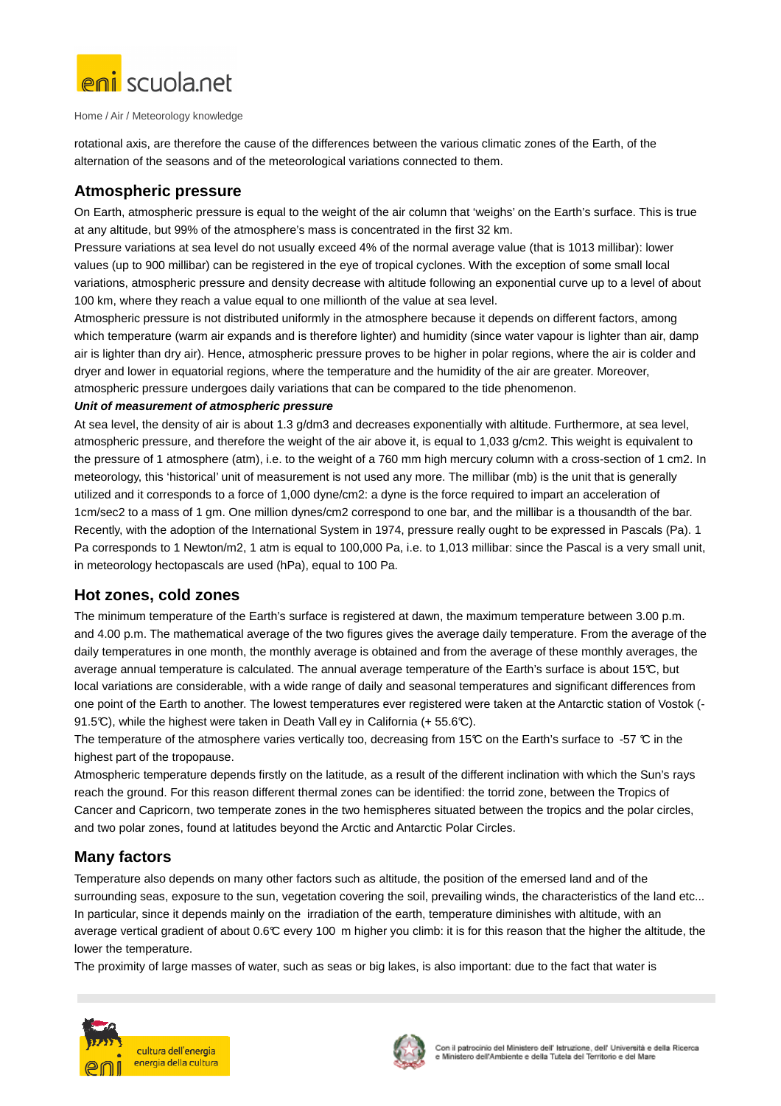

rotational axis, are therefore the cause of the differences between the various climatic zones of the Earth, of the alternation of the seasons and of the meteorological variations connected to them.

# **Atmospheric pressure**

On Earth, atmospheric pressure is equal to the weight of the air column that 'weighs' on the Earth's surface. This is true at any altitude, but 99% of the atmosphere's mass is concentrated in the first 32 km.

Pressure variations at sea level do not usually exceed 4% of the normal average value (that is 1013 millibar): lower values (up to 900 millibar) can be registered in the eye of tropical cyclones. With the exception of some small local variations, atmospheric pressure and density decrease with altitude following an exponential curve up to a level of about 100 km, where they reach a value equal to one millionth of the value at sea level.

Atmospheric pressure is not distributed uniformly in the atmosphere because it depends on different factors, among which temperature (warm air expands and is therefore lighter) and humidity (since water vapour is lighter than air, damp air is lighter than dry air). Hence, atmospheric pressure proves to be higher in polar regions, where the air is colder and dryer and lower in equatorial regions, where the temperature and the humidity of the air are greater. Moreover, atmospheric pressure undergoes daily variations that can be compared to the tide phenomenon.

#### **Unit of measurement of atmospheric pressure**

At sea level, the density of air is about 1.3 g/dm3 and decreases exponentially with altitude. Furthermore, at sea level, atmospheric pressure, and therefore the weight of the air above it, is equal to 1,033 g/cm2. This weight is equivalent to the pressure of 1 atmosphere (atm), i.e. to the weight of a 760 mm high mercury column with a cross-section of 1 cm2. In meteorology, this 'historical' unit of measurement is not used any more. The millibar (mb) is the unit that is generally utilized and it corresponds to a force of 1,000 dyne/cm2: a dyne is the force required to impart an acceleration of 1cm/sec2 to a mass of 1 gm. One million dynes/cm2 correspond to one bar, and the millibar is a thousandth of the bar. Recently, with the adoption of the International System in 1974, pressure really ought to be expressed in Pascals (Pa). 1 Pa corresponds to 1 Newton/m2, 1 atm is equal to 100,000 Pa, i.e. to 1,013 millibar: since the Pascal is a very small unit, in meteorology hectopascals are used (hPa), equal to 100 Pa.

#### **Hot zones, cold zones**

The minimum temperature of the Earth's surface is registered at dawn, the maximum temperature between 3.00 p.m. and 4.00 p.m. The mathematical average of the two figures gives the average daily temperature. From the average of the daily temperatures in one month, the monthly average is obtained and from the average of these monthly averages, the average annual temperature is calculated. The annual average temperature of the Earth's surface is about 15 $\mathbb{C}$ , but local variations are considerable, with a wide range of daily and seasonal temperatures and significant differences from one point of the Earth to another. The lowest temperatures ever registered were taken at the Antarctic station of Vostok (- 91.5°C), while the highest were taken in Death Vall ey in California (+ 55.6°C).

The temperature of the atmosphere varies vertically too, decreasing from 15 $\degree$ C on the Earth's surface to -57  $\degree$ C in the highest part of the tropopause.

Atmospheric temperature depends firstly on the latitude, as a result of the different inclination with which the Sun's rays reach the ground. For this reason different thermal zones can be identified: the torrid zone, between the Tropics of Cancer and Capricorn, two temperate zones in the two hemispheres situated between the tropics and the polar circles, and two polar zones, found at latitudes beyond the Arctic and Antarctic Polar Circles.

# **Many factors**

Temperature also depends on many other factors such as altitude, the position of the emersed land and of the surrounding seas, exposure to the sun, vegetation covering the soil, prevailing winds, the characteristics of the land etc... In particular, since it depends mainly on the irradiation of the earth, temperature diminishes with altitude, with an average vertical gradient of about 0.6°C every 100 m higher you climb: it is for this reason that the higher the altitude, the lower the temperature.

The proximity of large masses of water, such as seas or big lakes, is also important: due to the fact that water is



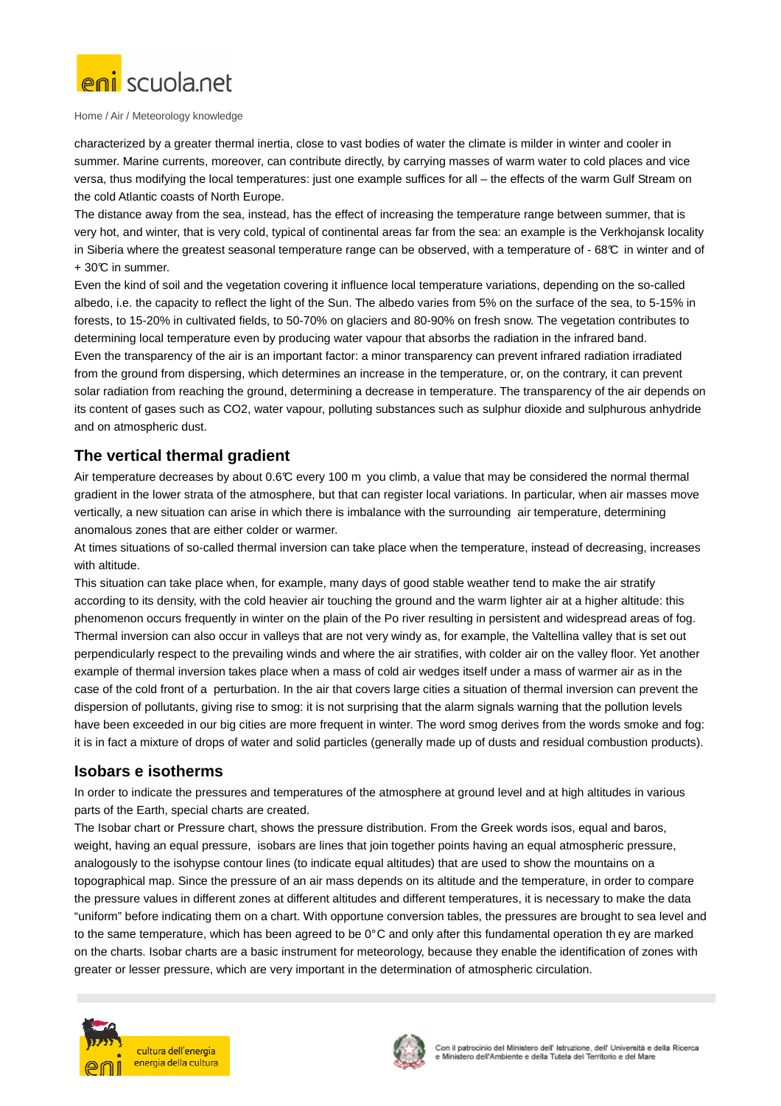

characterized by a greater thermal inertia, close to vast bodies of water the climate is milder in winter and cooler in summer. Marine currents, moreover, can contribute directly, by carrying masses of warm water to cold places and vice versa, thus modifying the local temperatures: just one example suffices for all – the effects of the warm Gulf Stream on the cold Atlantic coasts of North Europe.

The distance away from the sea, instead, has the effect of increasing the temperature range between summer, that is very hot, and winter, that is very cold, typical of continental areas far from the sea: an example is the Verkhojansk locality in Siberia where the greatest seasonal temperature range can be observed, with a temperature of - 68°C in winter and of + 30°C in summer.

Even the kind of soil and the vegetation covering it influence local temperature variations, depending on the so-called albedo, i.e. the capacity to reflect the light of the Sun. The albedo varies from 5% on the surface of the sea, to 5-15% in forests, to 15-20% in cultivated fields, to 50-70% on glaciers and 80-90% on fresh snow. The vegetation contributes to determining local temperature even by producing water vapour that absorbs the radiation in the infrared band. Even the transparency of the air is an important factor: a minor transparency can prevent infrared radiation irradiated from the ground from dispersing, which determines an increase in the temperature, or, on the contrary, it can prevent solar radiation from reaching the ground, determining a decrease in temperature. The transparency of the air depends on its content of gases such as CO2, water vapour, polluting substances such as sulphur dioxide and sulphurous anhydride and on atmospheric dust.

# **The vertical thermal gradient**

Air temperature decreases by about 0.6°C every 100 m you climb, a value that may be considered the normal thermal gradient in the lower strata of the atmosphere, but that can register local variations. In particular, when air masses move vertically, a new situation can arise in which there is imbalance with the surrounding air temperature, determining anomalous zones that are either colder or warmer.

At times situations of so-called thermal inversion can take place when the temperature, instead of decreasing, increases with altitude.

This situation can take place when, for example, many days of good stable weather tend to make the air stratify according to its density, with the cold heavier air touching the ground and the warm lighter air at a higher altitude: this phenomenon occurs frequently in winter on the plain of the Po river resulting in persistent and widespread areas of fog. Thermal inversion can also occur in valleys that are not very windy as, for example, the Valtellina valley that is set out perpendicularly respect to the prevailing winds and where the air stratifies, with colder air on the valley floor. Yet another example of thermal inversion takes place when a mass of cold air wedges itself under a mass of warmer air as in the case of the cold front of a perturbation. In the air that covers large cities a situation of thermal inversion can prevent the dispersion of pollutants, giving rise to smog: it is not surprising that the alarm signals warning that the pollution levels have been exceeded in our big cities are more frequent in winter. The word smog derives from the words smoke and fog: it is in fact a mixture of drops of water and solid particles (generally made up of dusts and residual combustion products).

# **Isobars e isotherms**

In order to indicate the pressures and temperatures of the atmosphere at ground level and at high altitudes in various parts of the Earth, special charts are created.

The Isobar chart or Pressure chart, shows the pressure distribution. From the Greek words isos, equal and baros, weight, having an equal pressure, isobars are lines that join together points having an equal atmospheric pressure, analogously to the isohypse contour lines (to indicate equal altitudes) that are used to show the mountains on a topographical map. Since the pressure of an air mass depends on its altitude and the temperature, in order to compare the pressure values in different zones at different altitudes and different temperatures, it is necessary to make the data "uniform" before indicating them on a chart. With opportune conversion tables, the pressures are brought to sea level and to the same temperature, which has been agreed to be 0° C and only after this fundamental operation th ey are marked on the charts. Isobar charts are a basic instrument for meteorology, because they enable the identification of zones with greater or lesser pressure, which are very important in the determination of atmospheric circulation.